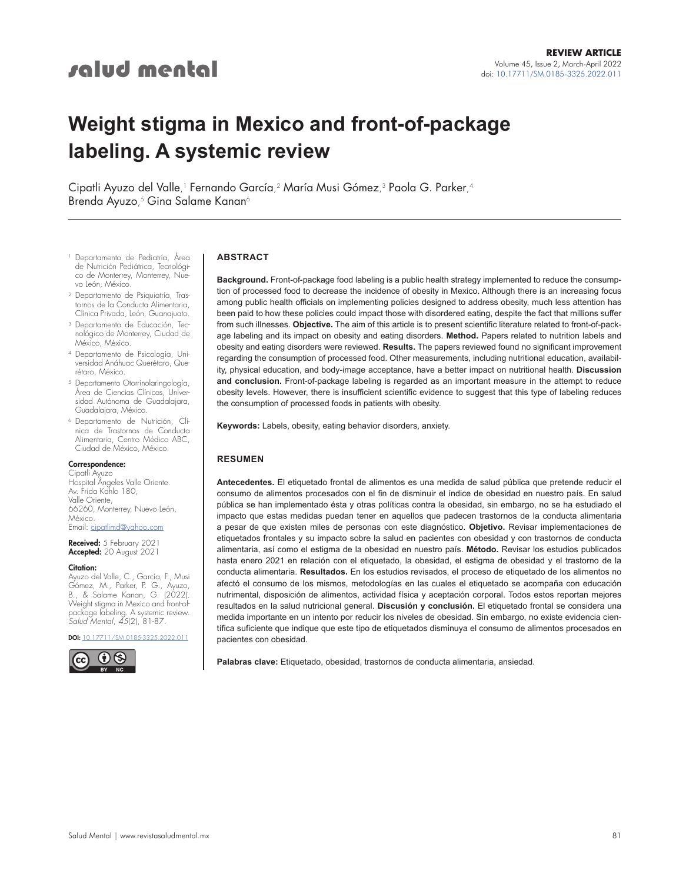# salud mental

# **Weight stigma in Mexico and front-of-package labeling. A systemic review**

Cipatli Ayuzo del Valle, <sup>1</sup> Fernando García, <sup>2</sup> María Musi Gómez, <sup>3</sup> Paola G. Parker, 4 Brenda Ayuzo,<sup>s</sup> Gina Salame Kanan<sup>6</sup>

- <sup>1</sup> Departamento de Pediatría, Área de Nutrición Pediátrica, Tecnológico de Monterrey, Monterrey, Nuevo León, México.
- <sup>2</sup> Departamento de Psiquiatría, Trastornos de la Conducta Alimentaria, Clínica Privada, León, Guanajuato.
- <sup>3</sup> Departamento de Educación, Tecnológico de Monterrey, Ciudad de México, México.
- <sup>4</sup> Departamento de Psicología, Universidad Anáhuac Querétaro, Querétaro, México.
- Departamento Otorrinolaringología, Área de Ciencias Clínicas, Universidad Autónoma de Guadalajara, Guadalajara, México.
- <sup>6</sup> Departamento de Nutrición, Clínica de Trastornos de Conducta Alimentaria, Centro Médico ABC, Ciudad de México, México.

### Correspondence:

Cipatli Ayuzo Hospital Ángeles Valle Oriente. Av. Frida Kahlo 180, Valle Oriente, 66260, Monterrey, Nuevo León, México. Email: [cipatlimd@yahoo.com](mailto:cipatlimd%40yahoo.com?subject=)

Received: 5 February 2021 Accepted: 20 August 2021

#### Citation:

Ayuzo del Valle, C., García, F., Musi Gómez, M., Parker, P. G., Ayuzo, B., & Salame Kanan, G. (2022). Weight stigma in Mexico and front-ofpackage labeling. A systemic review. *Salud Mental*, *45*(2), 81-87.

DOI: [10.17711/SM.0185-3325.2022.011](https://doi.org/10.17711/SM.0185-3325.2022.011)



### **ABSTRACT**

**Background.** Front-of-package food labeling is a public health strategy implemented to reduce the consumption of processed food to decrease the incidence of obesity in Mexico. Although there is an increasing focus among public health officials on implementing policies designed to address obesity, much less attention has been paid to how these policies could impact those with disordered eating, despite the fact that millions suffer from such illnesses. **Objective.** The aim of this article is to present scientific literature related to front-of-package labeling and its impact on obesity and eating disorders. **Method.** Papers related to nutrition labels and obesity and eating disorders were reviewed. **Results.** The papers reviewed found no significant improvement regarding the consumption of processed food. Other measurements, including nutritional education, availability, physical education, and body-image acceptance, have a better impact on nutritional health. **Discussion and conclusion.** Front-of-package labeling is regarded as an important measure in the attempt to reduce obesity levels. However, there is insufficient scientific evidence to suggest that this type of labeling reduces the consumption of processed foods in patients with obesity.

**Keywords:** Labels, obesity, eating behavior disorders, anxiety.

### **RESUMEN**

**Antecedentes.** El etiquetado frontal de alimentos es una medida de salud pública que pretende reducir el consumo de alimentos procesados con el fin de disminuir el índice de obesidad en nuestro país. En salud pública se han implementado ésta y otras políticas contra la obesidad, sin embargo, no se ha estudiado el impacto que estas medidas puedan tener en aquellos que padecen trastornos de la conducta alimentaria a pesar de que existen miles de personas con este diagnóstico. **Objetivo.** Revisar implementaciones de etiquetados frontales y su impacto sobre la salud en pacientes con obesidad y con trastornos de conducta alimentaria, así como el estigma de la obesidad en nuestro país. **Método.** Revisar los estudios publicados hasta enero 2021 en relación con el etiquetado, la obesidad, el estigma de obesidad y el trastorno de la conducta alimentaria. **Resultados.** En los estudios revisados, el proceso de etiquetado de los alimentos no afectó el consumo de los mismos, metodologías en las cuales el etiquetado se acompaña con educación nutrimental, disposición de alimentos, actividad física y aceptación corporal. Todos estos reportan mejores resultados en la salud nutricional general. **Discusión y conclusión.** El etiquetado frontal se considera una medida importante en un intento por reducir los niveles de obesidad. Sin embargo, no existe evidencia científica suficiente que indique que este tipo de etiquetados disminuya el consumo de alimentos procesados en pacientes con obesidad.

**Palabras clave:** Etiquetado, obesidad, trastornos de conducta alimentaria, ansiedad.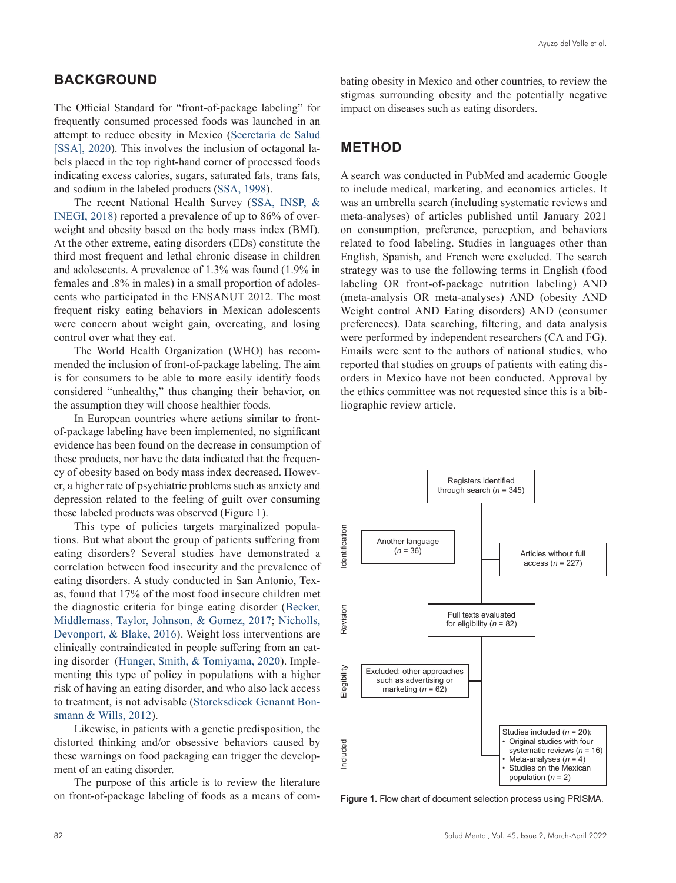## **BACKGROUND**

The Official Standard for "front-of-package labeling" for frequently consumed processed foods was launched in an attempt to reduce obesity in Mexico [\(Secretaría de Salud](#page-6-0) [\[SSA\], 2020\)](#page-6-0). This involves the inclusion of octagonal labels placed in the top right-hand corner of processed foods indicating excess calories, sugars, saturated fats, trans fats, and sodium in the labeled products ([SSA, 1998](#page-6-1)).

The recent National Health Survey ([SSA, INSP, &](#page-6-2) [INEGI, 2018\)](#page-6-2) reported a prevalence of up to 86% of overweight and obesity based on the body mass index (BMI). At the other extreme, eating disorders (EDs) constitute the third most frequent and lethal chronic disease in children and adolescents. A prevalence of 1.3% was found (1.9% in females and .8% in males) in a small proportion of adolescents who participated in the ENSANUT 2012. The most frequent risky eating behaviors in Mexican adolescents were concern about weight gain, overeating, and losing control over what they eat.

The World Health Organization (WHO) has recommended the inclusion of front-of-package labeling. The aim is for consumers to be able to more easily identify foods considered "unhealthy," thus changing their behavior, on the assumption they will choose healthier foods.

In European countries where actions similar to frontof-package labeling have been implemented, no significant evidence has been found on the decrease in consumption of these products, nor have the data indicated that the frequency of obesity based on body mass index decreased. However, a higher rate of psychiatric problems such as anxiety and depression related to the feeling of guilt over consuming these labeled products was observed (Figure 1).

This type of policies targets marginalized populations. But what about the group of patients suffering from eating disorders? Several studies have demonstrated a correlation between food insecurity and the prevalence of eating disorders. A study conducted in San Antonio, Texas, found that 17% of the most food insecure children met the diagnostic criteria for binge eating disorder ([Becker,](#page-5-0) [Middlemass, Taylor, Johnson, & Gomez, 2017](#page-5-0); [Nicholls,](#page-6-3) [Devonport, & Blake, 2016](#page-6-3)). Weight loss interventions are clinically contraindicated in people suffering from an eating disorder ([Hunger, Smith, & Tomiyama, 2020](#page-5-1)). Implementing this type of policy in populations with a higher risk of having an eating disorder, and who also lack access to treatment, is not advisable [\(Storcksdieck Genannt Bon](#page-6-4)[smann & Wills, 2012](#page-6-4)).

Likewise, in patients with a genetic predisposition, the distorted thinking and/or obsessive behaviors caused by these warnings on food packaging can trigger the development of an eating disorder.

The purpose of this article is to review the literature on front-of-package labeling of foods as a means of combating obesity in Mexico and other countries, to review the stigmas surrounding obesity and the potentially negative impact on diseases such as eating disorders.

### **METHOD**

A search was conducted in PubMed and academic Google to include medical, marketing, and economics articles. It was an umbrella search (including systematic reviews and meta-analyses) of articles published until January 2021 on consumption, preference, perception, and behaviors related to food labeling. Studies in languages other than English, Spanish, and French were excluded. The search strategy was to use the following terms in English (food labeling OR front-of-package nutrition labeling) AND (meta-analysis OR meta-analyses) AND (obesity AND Weight control AND Eating disorders) AND (consumer preferences). Data searching, filtering, and data analysis were performed by independent researchers (CA and FG). Emails were sent to the authors of national studies, who reported that studies on groups of patients with eating disorders in Mexico have not been conducted. Approval by the ethics committee was not requested since this is a bibliographic review article.



**Figure 1.** Flow chart of document selection process using PRISMA.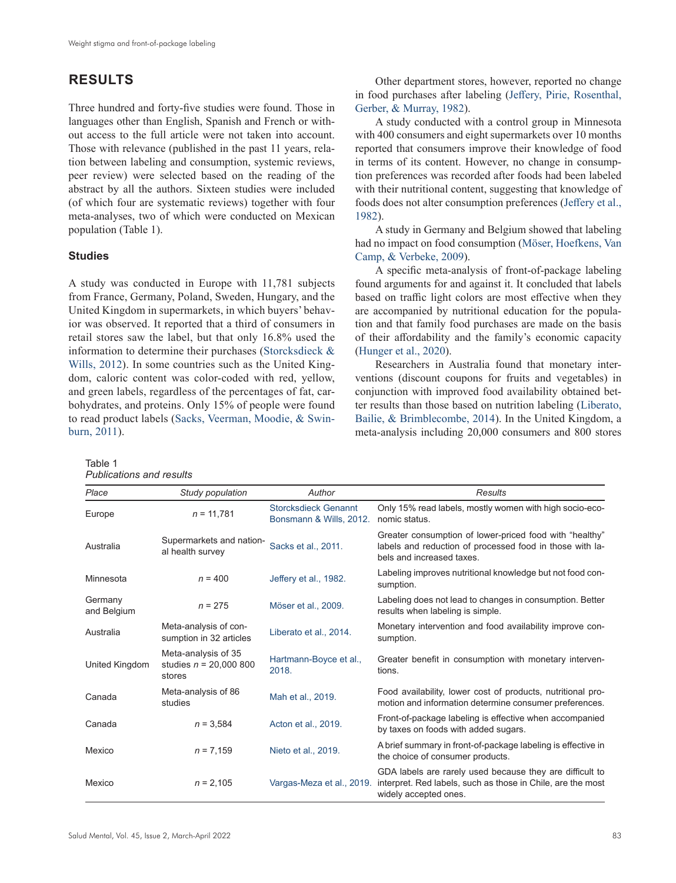# **RESULTS**

Three hundred and forty-five studies were found. Those in languages other than English, Spanish and French or without access to the full article were not taken into account. Those with relevance (published in the past 11 years, relation between labeling and consumption, systemic reviews, peer review) were selected based on the reading of the abstract by all the authors. Sixteen studies were included (of which four are systematic reviews) together with four meta-analyses, two of which were conducted on Mexican population (Table 1).

### **Studies**

A study was conducted in Europe with 11,781 subjects from France, Germany, Poland, Sweden, Hungary, and the United Kingdom in supermarkets, in which buyers' behavior was observed. It reported that a third of consumers in retail stores saw the label, but that only 16.8% used the information to determine their purchases ([Storcksdieck &](#page-6-4)  [Wills, 2012\)](#page-6-4). In some countries such as the United Kingdom, caloric content was color-coded with red, yellow, and green labels, regardless of the percentages of fat, carbohydrates, and proteins. Only 15% of people were found to read product labels ([Sacks, Veerman, Moodie, & Swin](#page-6-5)[burn, 2011](#page-6-5)).

| Table 1                         |
|---------------------------------|
| <b>Publications and results</b> |

Other department stores, however, reported no change in food purchases after labeling [\(Jeffery, Pirie, Rosenthal,](#page-6-6)  [Gerber, & Murray, 1982](#page-6-6)).

A study conducted with a control group in Minnesota with 400 consumers and eight supermarkets over 10 months reported that consumers improve their knowledge of food in terms of its content. However, no change in consumption preferences was recorded after foods had been labeled with their nutritional content, suggesting that knowledge of foods does not alter consumption preferences ([Jeffery et al.,](#page-6-6)  [1982](#page-6-6)).

A study in Germany and Belgium showed that labeling had no impact on food consumption ([Möser, Hoefkens, Van](#page-6-7)  [Camp, & Verbeke, 2009](#page-6-7)).

A specific meta-analysis of front-of-package labeling found arguments for and against it. It concluded that labels based on traffic light colors are most effective when they are accompanied by nutritional education for the population and that family food purchases are made on the basis of their affordability and the family's economic capacity [\(Hunger et al., 2020](#page-5-1)).

Researchers in Australia found that monetary interventions (discount coupons for fruits and vegetables) in conjunction with improved food availability obtained better results than those based on nutrition labeling ([Liberato,](#page-6-8)  [Bailie, & Brimblecombe, 2014\)](#page-6-8). In the United Kingdom, a meta-analysis including 20,000 consumers and 800 stores

| Place                  | Study population                                          | Author                                                 | <b>Results</b>                                                                                                                                   |
|------------------------|-----------------------------------------------------------|--------------------------------------------------------|--------------------------------------------------------------------------------------------------------------------------------------------------|
| Europe                 | $n = 11.781$                                              | <b>Storcksdieck Genannt</b><br>Bonsmann & Wills, 2012. | Only 15% read labels, mostly women with high socio-eco-<br>nomic status.                                                                         |
| Australia              | Supermarkets and nation-<br>al health survey              | Sacks et al., 2011.                                    | Greater consumption of lower-priced food with "healthy"<br>labels and reduction of processed food in those with la-<br>bels and increased taxes  |
| Minnesota              | $n = 400$                                                 | Jeffery et al., 1982.                                  | Labeling improves nutritional knowledge but not food con-<br>sumption.                                                                           |
| Germany<br>and Belgium | $n = 275$                                                 | Möser et al., 2009.                                    | Labeling does not lead to changes in consumption. Better<br>results when labeling is simple.                                                     |
| Australia              | Meta-analysis of con-<br>sumption in 32 articles          | Liberato et al., 2014.                                 | Monetary intervention and food availability improve con-<br>sumption.                                                                            |
| United Kingdom         | Meta-analysis of 35<br>studies $n = 20,000,800$<br>stores | Hartmann-Boyce et al.,<br>2018.                        | Greater benefit in consumption with monetary interven-<br>tions.                                                                                 |
| Canada                 | Meta-analysis of 86<br>studies                            | Mah et al., 2019.                                      | Food availability, lower cost of products, nutritional pro-<br>motion and information determine consumer preferences.                            |
| Canada                 | $n = 3,584$                                               | Acton et al., 2019.                                    | Front-of-package labeling is effective when accompanied<br>by taxes on foods with added sugars.                                                  |
| Mexico                 | $n = 7,159$                                               | Nieto et al., 2019.                                    | A brief summary in front-of-package labeling is effective in<br>the choice of consumer products.                                                 |
| Mexico                 | $n = 2,105$                                               | Vargas-Meza et al., 2019.                              | GDA labels are rarely used because they are difficult to<br>interpret. Red labels, such as those in Chile, are the most<br>widely accepted ones. |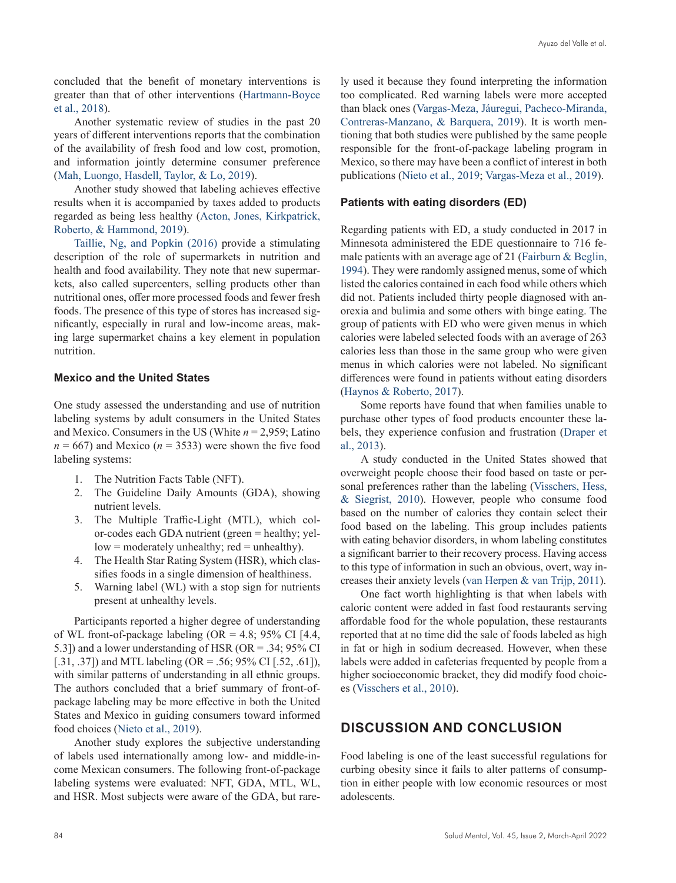concluded that the benefit of monetary interventions is greater than that of other interventions [\(Hartmann-Boyce](#page-5-2) [et al., 2018](#page-5-2)).

Another systematic review of studies in the past 20 years of different interventions reports that the combination of the availability of fresh food and low cost, promotion, and information jointly determine consumer preference [\(Mah, Luongo, Hasdell, Taylor, & Lo, 2019](#page-6-9)).

Another study showed that labeling achieves effective results when it is accompanied by taxes added to products regarded as being less healthy [\(Acton, Jones, Kirkpatrick,](#page-5-3) [Roberto, & Hammond, 2019](#page-5-3)).

[Taillie, Ng, and Popkin \(2016\)](#page-6-12) provide a stimulating description of the role of supermarkets in nutrition and health and food availability. They note that new supermarkets, also called supercenters, selling products other than nutritional ones, offer more processed foods and fewer fresh foods. The presence of this type of stores has increased significantly, especially in rural and low-income areas, making large supermarket chains a key element in population nutrition.

### **Mexico and the United States**

One study assessed the understanding and use of nutrition labeling systems by adult consumers in the United States and Mexico. Consumers in the US (White *n* = 2,959; Latino  $n = 667$ ) and Mexico ( $n = 3533$ ) were shown the five food labeling systems:

- 1. The Nutrition Facts Table (NFT).
- 2. The Guideline Daily Amounts (GDA), showing nutrient levels.
- 3. The Multiple Traffic-Light (MTL), which color-codes each GDA nutrient (green = healthy; yellow = moderately unhealthy; red = unhealthy).
- 4. The Health Star Rating System (HSR), which classifies foods in a single dimension of healthiness.
- 5. Warning label (WL) with a stop sign for nutrients present at unhealthy levels.

Participants reported a higher degree of understanding of WL front-of-package labeling (OR = 4.8; 95% CI [4.4, 5.3]) and a lower understanding of HSR (OR = .34; 95% CI [.31, .37]) and MTL labeling (OR = .56; 95% CI [.52, .61]), with similar patterns of understanding in all ethnic groups. The authors concluded that a brief summary of front-ofpackage labeling may be more effective in both the United States and Mexico in guiding consumers toward informed food choices ([Nieto et al., 2019](#page-6-10)).

Another study explores the subjective understanding of labels used internationally among low- and middle-income Mexican consumers. The following front-of-package labeling systems were evaluated: NFT, GDA, MTL, WL, and HSR. Most subjects were aware of the GDA, but rarely used it because they found interpreting the information too complicated. Red warning labels were more accepted than black ones ([Vargas-Meza, Jáuregui, Pacheco-Miranda,](#page-6-11) [Contreras-Manzano, & Barquera, 2019\)](#page-6-11). It is worth mentioning that both studies were published by the same people responsible for the front-of-package labeling program in Mexico, so there may have been a conflict of interest in both publications ([Nieto et al., 2019](#page-6-10); [Vargas-Meza et al., 2019](#page-6-11)).

### **Patients with eating disorders (ED)**

Regarding patients with ED, a study conducted in 2017 in Minnesota administered the EDE questionnaire to 716 female patients with an average age of 21 [\(Fairburn & Beglin,](#page-5-4) [1994](#page-5-4)). They were randomly assigned menus, some of which listed the calories contained in each food while others which did not. Patients included thirty people diagnosed with anorexia and bulimia and some others with binge eating. The group of patients with ED who were given menus in which calories were labeled selected foods with an average of 263 calories less than those in the same group who were given menus in which calories were not labeled. No significant differences were found in patients without eating disorders [\(Haynos & Roberto, 2017](#page-5-5)).

Some reports have found that when families unable to purchase other types of food products encounter these labels, they experience confusion and frustration ([Draper et](#page-5-6) [al., 2013](#page-5-6)).

A study conducted in the United States showed that overweight people choose their food based on taste or personal preferences rather than the labeling ([Visschers, Hess,](#page-6-13) [& Siegrist, 2010](#page-6-13)). However, people who consume food based on the number of calories they contain select their food based on the labeling. This group includes patients with eating behavior disorders, in whom labeling constitutes a significant barrier to their recovery process. Having access to this type of information in such an obvious, overt, way increases their anxiety levels ([van Herpen & van Trijp, 2011](#page-6-14)).

One fact worth highlighting is that when labels with caloric content were added in fast food restaurants serving affordable food for the whole population, these restaurants reported that at no time did the sale of foods labeled as high in fat or high in sodium decreased. However, when these labels were added in cafeterias frequented by people from a higher socioeconomic bracket, they did modify food choices [\(Visschers et al., 2010](#page-6-13)).

## **DISCUSSION AND CONCLUSION**

Food labeling is one of the least successful regulations for curbing obesity since it fails to alter patterns of consumption in either people with low economic resources or most adolescents.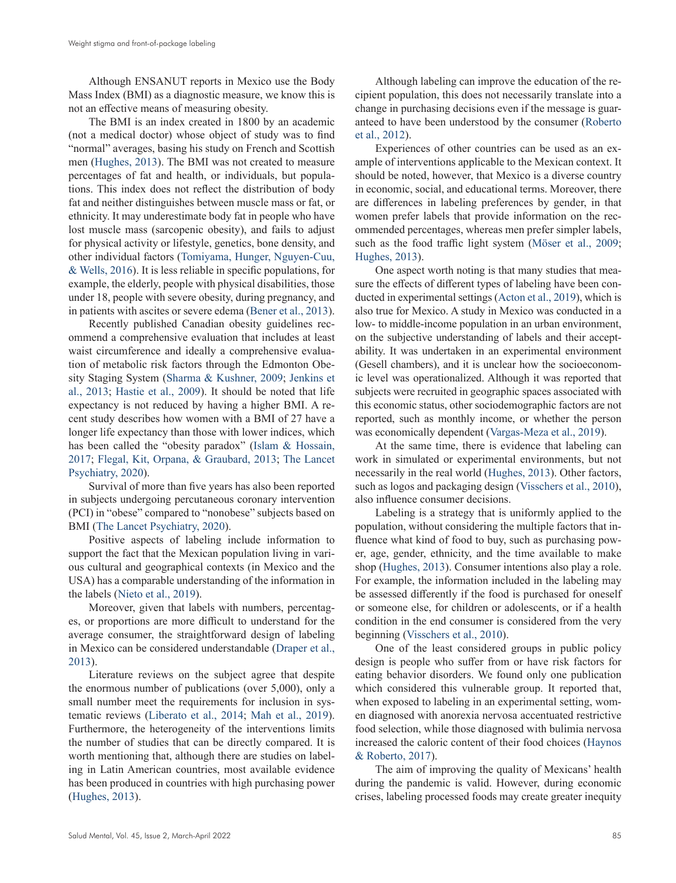Although ENSANUT reports in Mexico use the Body Mass Index (BMI) as a diagnostic measure, we know this is not an effective means of measuring obesity.

The BMI is an index created in 1800 by an academic (not a medical doctor) whose object of study was to find "normal" averages, basing his study on French and Scottish men [\(Hughes, 2013](#page-5-7)). The BMI was not created to measure percentages of fat and health, or individuals, but populations. This index does not reflect the distribution of body fat and neither distinguishes between muscle mass or fat, or ethnicity. It may underestimate body fat in people who have lost muscle mass (sarcopenic obesity), and fails to adjust for physical activity or lifestyle, genetics, bone density, and other individual factors ([Tomiyama, Hunger, Nguyen-Cuu,](#page-6-15)  [& Wells, 2016\)](#page-6-15). It is less reliable in specific populations, for example, the elderly, people with physical disabilities, those under 18, people with severe obesity, during pregnancy, and in patients with ascites or severe edema [\(Bener et al., 2013](#page-5-8)).

Recently published Canadian obesity guidelines recommend a comprehensive evaluation that includes at least waist circumference and ideally a comprehensive evaluation of metabolic risk factors through the Edmonton Obesity Staging System [\(Sharma & Kushner, 2009](#page-6-16); [Jenkins et](#page-6-17)  [al., 2013](#page-6-17); [Hastie et al., 2009](#page-5-9)). It should be noted that life expectancy is not reduced by having a higher BMI. A recent study describes how women with a BMI of 27 have a longer life expectancy than those with lower indices, which has been called the "obesity paradox" (Islam & Hossain, [2017](#page-6-18); [Flegal, Kit, Orpana, & Graubard, 2013](#page-5-10); [The Lancet](#page-6-19)  [Psychiatry, 2020](#page-6-19)).

Survival of more than five years has also been reported in subjects undergoing percutaneous coronary intervention (PCI) in "obese" compared to "nonobese" subjects based on BMI ([The Lancet Psychiatry, 2020](#page-6-19)).

Positive aspects of labeling include information to support the fact that the Mexican population living in various cultural and geographical contexts (in Mexico and the USA) has a comparable understanding of the information in the labels ([Nieto et al., 2019](#page-6-10)).

Moreover, given that labels with numbers, percentages, or proportions are more difficult to understand for the average consumer, the straightforward design of labeling in Mexico can be considered understandable ([Draper et al.,](#page-5-6)  [2013](#page-5-6)).

Literature reviews on the subject agree that despite the enormous number of publications (over 5,000), only a small number meet the requirements for inclusion in systematic reviews [\(Liberato et al., 2014](#page-6-8); [Mah et al., 2019](#page-6-9)). Furthermore, the heterogeneity of the interventions limits the number of studies that can be directly compared. It is worth mentioning that, although there are studies on labeling in Latin American countries, most available evidence has been produced in countries with high purchasing power [\(Hughes, 2013](#page-5-7)).

Although labeling can improve the education of the recipient population, this does not necessarily translate into a change in purchasing decisions even if the message is guaranteed to have been understood by the consumer ([Roberto](#page-6-20)  [et al., 2012](#page-6-20)).

Experiences of other countries can be used as an example of interventions applicable to the Mexican context. It should be noted, however, that Mexico is a diverse country in economic, social, and educational terms. Moreover, there are differences in labeling preferences by gender, in that women prefer labels that provide information on the recommended percentages, whereas men prefer simpler labels, such as the food traffic light system [\(Möser et al., 2009](#page-6-7); [Hughes, 2013](#page-5-7)).

One aspect worth noting is that many studies that measure the effects of different types of labeling have been conducted in experimental settings [\(Acton et al., 2019](#page-5-3)), which is also true for Mexico. A study in Mexico was conducted in a low- to middle-income population in an urban environment, on the subjective understanding of labels and their acceptability. It was undertaken in an experimental environment (Gesell chambers), and it is unclear how the socioeconomic level was operationalized. Although it was reported that subjects were recruited in geographic spaces associated with this economic status, other sociodemographic factors are not reported, such as monthly income, or whether the person was economically dependent ([Vargas-Meza et al., 2019](#page-6-11)).

At the same time, there is evidence that labeling can work in simulated or experimental environments, but not necessarily in the real world [\(Hughes, 2013\)](#page-5-7). Other factors, such as logos and packaging design ([Visschers et al., 2010](#page-6-13)), also influence consumer decisions.

Labeling is a strategy that is uniformly applied to the population, without considering the multiple factors that influence what kind of food to buy, such as purchasing power, age, gender, ethnicity, and the time available to make shop ([Hughes, 2013](#page-5-7)). Consumer intentions also play a role. For example, the information included in the labeling may be assessed differently if the food is purchased for oneself or someone else, for children or adolescents, or if a health condition in the end consumer is considered from the very beginning ([Visschers et al., 2010](#page-6-13)).

One of the least considered groups in public policy design is people who suffer from or have risk factors for eating behavior disorders. We found only one publication which considered this vulnerable group. It reported that, when exposed to labeling in an experimental setting, women diagnosed with anorexia nervosa accentuated restrictive food selection, while those diagnosed with bulimia nervosa increased the caloric content of their food choices [\(Haynos](#page-5-5)  [& Roberto, 2017](#page-5-5)).

The aim of improving the quality of Mexicans' health during the pandemic is valid. However, during economic crises, labeling processed foods may create greater inequity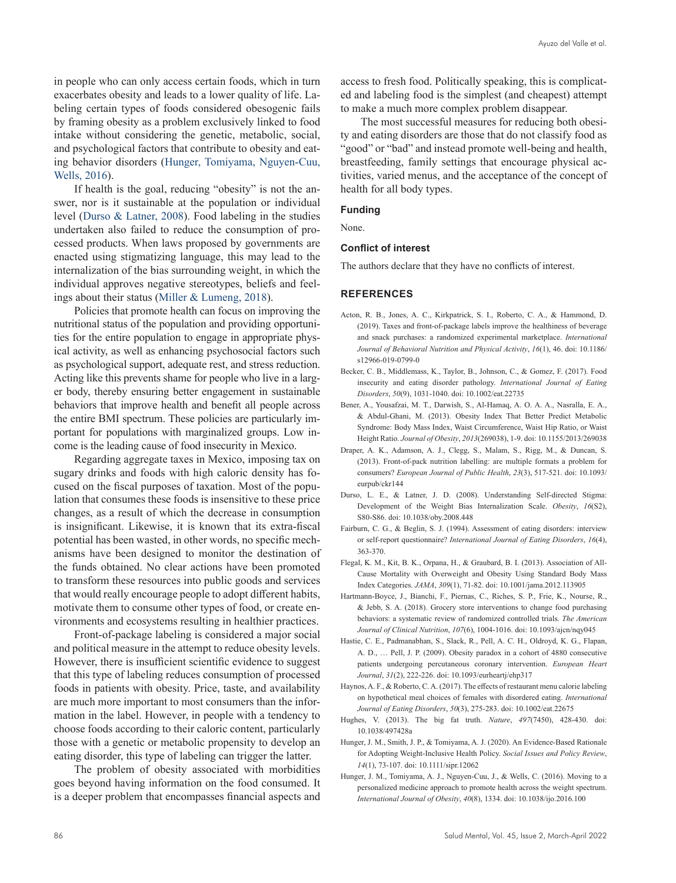in people who can only access certain foods, which in turn exacerbates obesity and leads to a lower quality of life. Labeling certain types of foods considered obesogenic fails by framing obesity as a problem exclusively linked to food intake without considering the genetic, metabolic, social, and psychological factors that contribute to obesity and eating behavior disorders ([Hunger, Tomiyama, Nguyen-Cuu,](#page-5-11) [Wells, 2016](#page-5-11)).

If health is the goal, reducing "obesity" is not the answer, nor is it sustainable at the population or individual level ([Durso & Latner, 2008](#page-5-12)). Food labeling in the studies undertaken also failed to reduce the consumption of processed products. When laws proposed by governments are enacted using stigmatizing language, this may lead to the internalization of the bias surrounding weight, in which the individual approves negative stereotypes, beliefs and feelings about their status [\(Miller & Lumeng, 2018](#page-6-21)).

Policies that promote health can focus on improving the nutritional status of the population and providing opportunities for the entire population to engage in appropriate physical activity, as well as enhancing psychosocial factors such as psychological support, adequate rest, and stress reduction. Acting like this prevents shame for people who live in a larger body, thereby ensuring better engagement in sustainable behaviors that improve health and benefit all people across the entire BMI spectrum. These policies are particularly important for populations with marginalized groups. Low income is the leading cause of food insecurity in Mexico.

Regarding aggregate taxes in Mexico, imposing tax on sugary drinks and foods with high caloric density has focused on the fiscal purposes of taxation. Most of the population that consumes these foods is insensitive to these price changes, as a result of which the decrease in consumption is insignificant. Likewise, it is known that its extra-fiscal potential has been wasted, in other words, no specific mechanisms have been designed to monitor the destination of the funds obtained. No clear actions have been promoted to transform these resources into public goods and services that would really encourage people to adopt different habits, motivate them to consume other types of food, or create environments and ecosystems resulting in healthier practices.

Front-of-package labeling is considered a major social and political measure in the attempt to reduce obesity levels. However, there is insufficient scientific evidence to suggest that this type of labeling reduces consumption of processed foods in patients with obesity. Price, taste, and availability are much more important to most consumers than the information in the label. However, in people with a tendency to choose foods according to their caloric content, particularly those with a genetic or metabolic propensity to develop an eating disorder, this type of labeling can trigger the latter.

The problem of obesity associated with morbidities goes beyond having information on the food consumed. It is a deeper problem that encompasses financial aspects and access to fresh food. Politically speaking, this is complicated and labeling food is the simplest (and cheapest) attempt to make a much more complex problem disappear.

The most successful measures for reducing both obesity and eating disorders are those that do not classify food as "good" or "bad" and instead promote well-being and health, breastfeeding, family settings that encourage physical activities, varied menus, and the acceptance of the concept of health for all body types.

### **Funding**

None.

### **Conflict of interest**

The authors declare that they have no conflicts of interest.

### **REFERENCES**

- <span id="page-5-3"></span>Acton, R. B., Jones, A. C., Kirkpatrick, S. I., Roberto, C. A., & Hammond, D. (2019). Taxes and front-of-package labels improve the healthiness of beverage and snack purchases: a randomized experimental marketplace. *International Journal of Behavioral Nutrition and Physical Activity*, *16*(1), 46. doi: 10.1186/ s12966-019-0799-0
- <span id="page-5-0"></span>Becker, C. B., Middlemass, K., Taylor, B., Johnson, C., & Gomez, F. (2017). Food insecurity and eating disorder pathology. *International Journal of Eating Disorders*, *50*(9), 1031-1040. doi: 10.1002/eat.22735
- <span id="page-5-8"></span>Bener, A., Yousafzai, M. T., Darwish, S., Al-Hamaq, A. O. A. A., Nasralla, E. A., & Abdul-Ghani, M. (2013). Obesity Index That Better Predict Metabolic Syndrome: Body Mass Index, Waist Circumference, Waist Hip Ratio, or Waist Height Ratio. *Journal of Obesity*, *2013*(269038), 1-9. doi: 10.1155/2013/269038
- <span id="page-5-6"></span>Draper, A. K., Adamson, A. J., Clegg, S., Malam, S., Rigg, M., & Duncan, S. (2013). Front-of-pack nutrition labelling: are multiple formats a problem for consumers? *European Journal of Public Health*, *23*(3), 517-521. doi: 10.1093/ eurpub/ckr144
- <span id="page-5-12"></span>Durso, L. E., & Latner, J. D. (2008). Understanding Self-directed Stigma: Development of the Weight Bias Internalization Scale. *Obesity*, *16*(S2), S80-S86. doi: 10.1038/oby.2008.448
- <span id="page-5-4"></span>Fairburn, C. G., & Beglin, S. J. (1994). Assessment of eating disorders: interview or self-report questionnaire? *International Journal of Eating Disorders*, *16*(4), 363-370.
- <span id="page-5-10"></span>Flegal, K. M., Kit, B. K., Orpana, H., & Graubard, B. I. (2013). Association of All-Cause Mortality with Overweight and Obesity Using Standard Body Mass Index Categories. *JAMA*, *309*(1), 71-82. doi: 10.1001/jama.2012.113905
- <span id="page-5-2"></span>Hartmann-Boyce, J., Bianchi, F., Piernas, C., Riches, S. P., Frie, K., Nourse, R., & Jebb, S. A. (2018). Grocery store interventions to change food purchasing behaviors: a systematic review of randomized controlled trials. *The American Journal of Clinical Nutrition*, *107*(6), 1004-1016. doi: 10.1093/ajcn/nqy045
- <span id="page-5-9"></span>Hastie, C. E., Padmanabhan, S., Slack, R., Pell, A. C. H., Oldroyd, K. G., Flapan, A. D., … Pell, J. P. (2009). Obesity paradox in a cohort of 4880 consecutive patients undergoing percutaneous coronary intervention. *European Heart Journal*, *31*(2), 222-226. doi: 10.1093/eurheartj/ehp317
- <span id="page-5-5"></span>Haynos, A. F., & Roberto, C. A. (2017). The effects of restaurant menu calorie labeling on hypothetical meal choices of females with disordered eating. *International Journal of Eating Disorders*, *50*(3), 275-283. doi: 10.1002/eat.22675
- <span id="page-5-7"></span>Hughes, V. (2013). The big fat truth. *Nature*, *497*(7450), 428-430. doi: 10.1038/497428a
- <span id="page-5-1"></span>Hunger, J. M., Smith, J. P., & Tomiyama, A. J. (2020). An Evidence-Based Rationale for Adopting Weight‐Inclusive Health Policy. *Social Issues and Policy Review*, *14*(1), 73-107. doi: 10.1111/sipr.12062
- <span id="page-5-11"></span>Hunger, J. M., Tomiyama, A. J., Nguyen-Cuu, J., & Wells, C. (2016). Moving to a personalized medicine approach to promote health across the weight spectrum. *International Journal of Obesity*, *40*(8), 1334. doi: 10.1038/ijo.2016.100